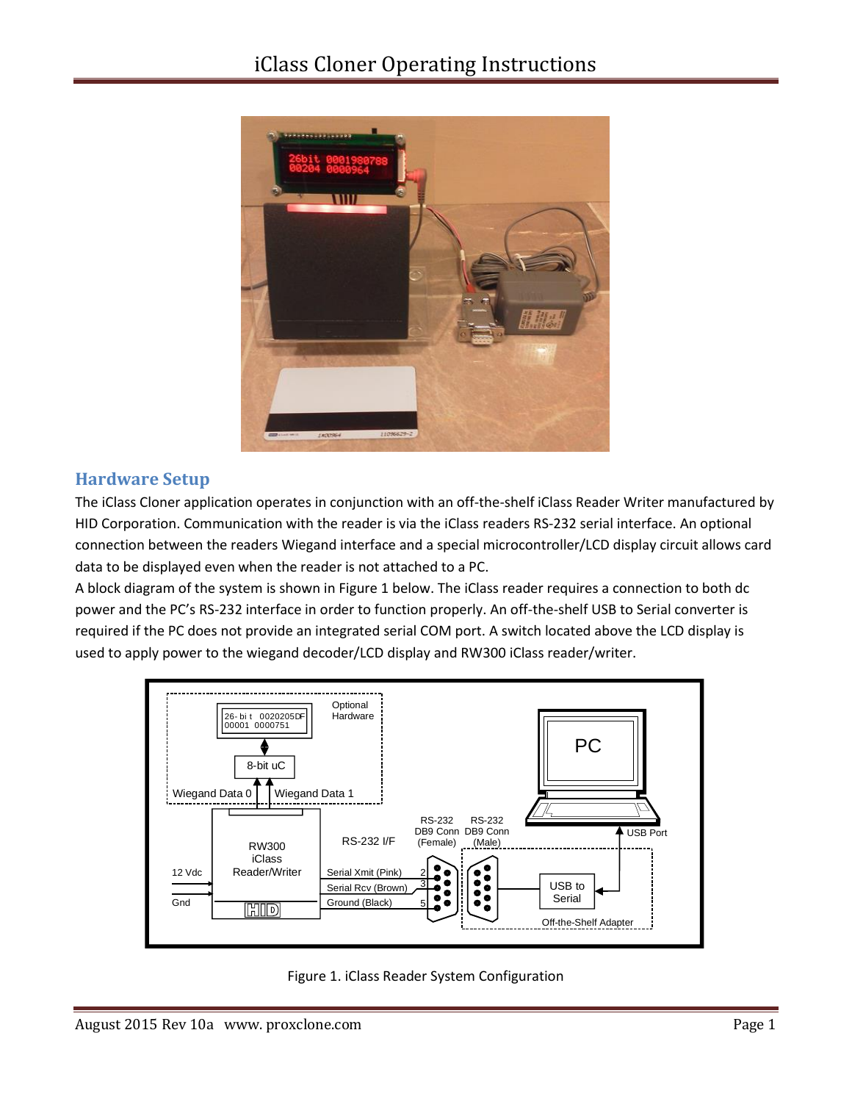

### **Hardware Setup**

The iClass Cloner application operates in conjunction with an off-the-shelf iClass Reader Writer manufactured by HID Corporation. Communication with the reader is via the iClass readers RS-232 serial interface. An optional connection between the readers Wiegand interface and a special microcontroller/LCD display circuit allows card data to be displayed even when the reader is not attached to a PC.

A block diagram of the system is shown in Figure 1 below. The iClass reader requires a connection to both dc power and the PC's RS-232 interface in order to function properly. An off-the-shelf USB to Serial converter is required if the PC does not provide an integrated serial COM port. A switch located above the LCD display is used to apply power to the wiegand decoder/LCD display and RW300 iClass reader/writer.



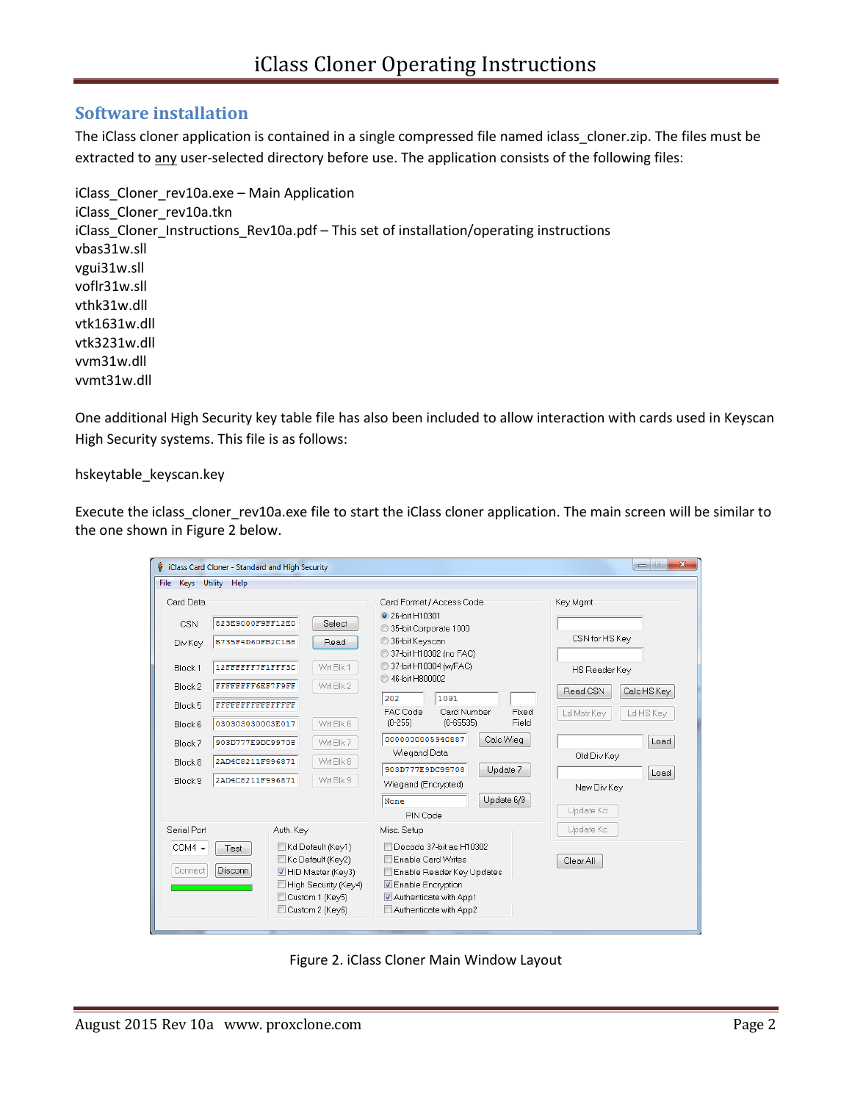### **Software installation**

The iClass cloner application is contained in a single compressed file named iclass\_cloner.zip. The files must be extracted to any user-selected directory before use. The application consists of the following files:

iClass\_Cloner\_rev10a.exe – Main Application iClass\_Cloner\_rev10a.tkn iClass\_Cloner\_Instructions\_Rev10a.pdf – This set of installation/operating instructions vbas31w.sll vgui31w.sll voflr31w.sll vthk31w.dll vtk1631w.dll vtk3231w.dll vvm31w.dll vvmt31w.dll

One additional High Security key table file has also been included to allow interaction with cards used in Keyscan High Security systems. This file is as follows:

hskeytable\_keyscan.key

Execute the iclass\_cloner\_rev10a.exe file to start the iClass cloner application. The main screen will be similar to the one shown in Figure 2 below.

|                                        | iClass Card Cloner - Standard and High Security                                                                           |                                                                                                                                                                     | $\overline{\mathbf{x}}$<br>$\Box$ |
|----------------------------------------|---------------------------------------------------------------------------------------------------------------------------|---------------------------------------------------------------------------------------------------------------------------------------------------------------------|-----------------------------------|
| File Keys Utility                      | Help                                                                                                                      |                                                                                                                                                                     |                                   |
| Card Data                              |                                                                                                                           | Card Format / Access Code                                                                                                                                           | Key Mgmt                          |
| <b>CSN</b>                             | 823E9000F9FF12E0<br>Select                                                                                                | 26-hit H10301<br>35-bit Corporate 1000                                                                                                                              |                                   |
| Div Key                                | B735F4D60FB2C1B8<br>Read                                                                                                  | 36-bit Keyscan<br>37-bit H10302 (no FAC)                                                                                                                            | CSN for HS Key                    |
| Block <sub>1</sub>                     | 12FFFFFF7F1FFF3C<br>Wrt Blk 1                                                                                             | 37-bit H10304 (w/FAC)<br>◯ 46-bit H800002                                                                                                                           | HS Reader Key                     |
| Block <sub>2</sub>                     | Wrt Blk 2<br>FFFFFFFF6EF7F9FF                                                                                             | 202<br>1091                                                                                                                                                         | Calc HS Key<br>Read CSN           |
| Block 5                                | FFFFFFFFFFFFFFFF                                                                                                          | FAC Code<br>Card Number<br>Fixed<br>Field<br>$(0-255)$<br>$(0 - 65535)$                                                                                             | Ld Mstr Kev<br>Ld HS Key          |
| Block 6                                | Wrt Blk 6<br>030303030003E017                                                                                             | 0000000005940887<br>Calc Wieg                                                                                                                                       |                                   |
| Block 7                                | Wrt Blk 7<br>903D777E9DC99708                                                                                             | Wiegand Data                                                                                                                                                        | Load                              |
| Block 8                                | Wrt Blk 8<br>2AD4C8211F996871                                                                                             |                                                                                                                                                                     | Old Div Key                       |
| Block 9                                | Wrt Blk 9<br>2AD4C8211F996871                                                                                             | 903D777E9DC99708<br>Update 7                                                                                                                                        | Load                              |
|                                        |                                                                                                                           | Wiegand (Encrypted)                                                                                                                                                 | New Div Key                       |
|                                        |                                                                                                                           | Update 6/9<br>None                                                                                                                                                  |                                   |
|                                        |                                                                                                                           | PIN Code                                                                                                                                                            | Update Kd                         |
| Serial Port                            | Auth. Key                                                                                                                 | Misc. Setup                                                                                                                                                         | Update Kc                         |
| $COM4 -$<br>Test<br>Disconn<br>Connect | Kd Default (Key1)<br>Kc Default (Key2)<br>HID Master (Key3)<br>High Security (Key4)<br>Custom 1 (Key5)<br>Custom 2 (Key6) | Decode 37-bit as H10302<br><b>Enable Card Writes</b><br>Enable Reader Key Updates<br><b>V</b> Enable Encryption<br>Authenticate with App1<br>Authenticate with App2 | Clear All                         |

Figure 2. iClass Cloner Main Window Layout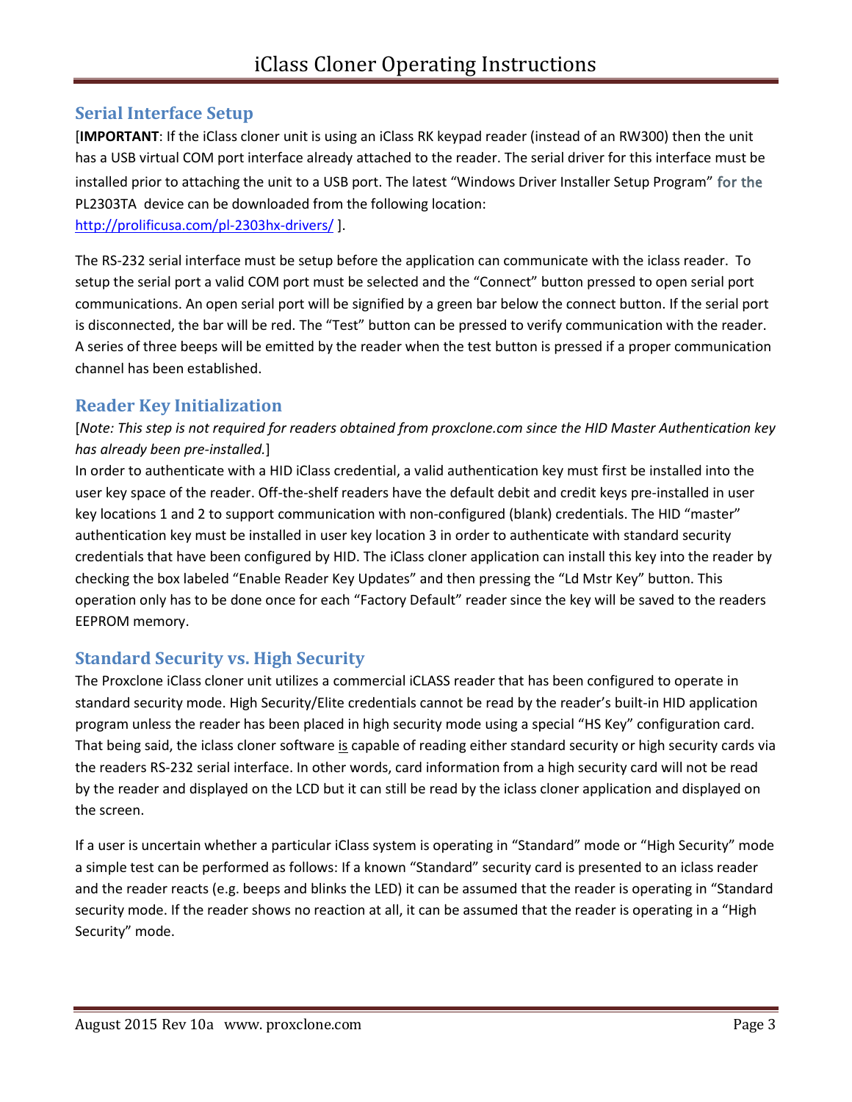## **Serial Interface Setup**

[**IMPORTANT**: If the iClass cloner unit is using an iClass RK keypad reader (instead of an RW300) then the unit has a USB virtual COM port interface already attached to the reader. The serial driver for this interface must be installed prior to attaching the unit to a USB port. The latest "Windows Driver Installer Setup Program" for the PL2303TA device can be downloaded from the following location: <http://prolificusa.com/pl-2303hx-drivers/>].

The RS-232 serial interface must be setup before the application can communicate with the iclass reader. To setup the serial port a valid COM port must be selected and the "Connect" button pressed to open serial port communications. An open serial port will be signified by a green bar below the connect button. If the serial port is disconnected, the bar will be red. The "Test" button can be pressed to verify communication with the reader. A series of three beeps will be emitted by the reader when the test button is pressed if a proper communication channel has been established.

## **Reader Key Initialization**

[*Note: This step is not required for readers obtained from proxclone.com since the HID Master Authentication key has already been pre-installed.*]

In order to authenticate with a HID iClass credential, a valid authentication key must first be installed into the user key space of the reader. Off-the-shelf readers have the default debit and credit keys pre-installed in user key locations 1 and 2 to support communication with non-configured (blank) credentials. The HID "master" authentication key must be installed in user key location 3 in order to authenticate with standard security credentials that have been configured by HID. The iClass cloner application can install this key into the reader by checking the box labeled "Enable Reader Key Updates" and then pressing the "Ld Mstr Key" button. This operation only has to be done once for each "Factory Default" reader since the key will be saved to the readers EEPROM memory.

## **Standard Security vs. High Security**

The Proxclone iClass cloner unit utilizes a commercial iCLASS reader that has been configured to operate in standard security mode. High Security/Elite credentials cannot be read by the reader's built-in HID application program unless the reader has been placed in high security mode using a special "HS Key" configuration card. That being said, the iclass cloner software is capable of reading either standard security or high security cards via the readers RS-232 serial interface. In other words, card information from a high security card will not be read by the reader and displayed on the LCD but it can still be read by the iclass cloner application and displayed on the screen.

If a user is uncertain whether a particular iClass system is operating in "Standard" mode or "High Security" mode a simple test can be performed as follows: If a known "Standard" security card is presented to an iclass reader and the reader reacts (e.g. beeps and blinks the LED) it can be assumed that the reader is operating in "Standard security mode. If the reader shows no reaction at all, it can be assumed that the reader is operating in a "High Security" mode.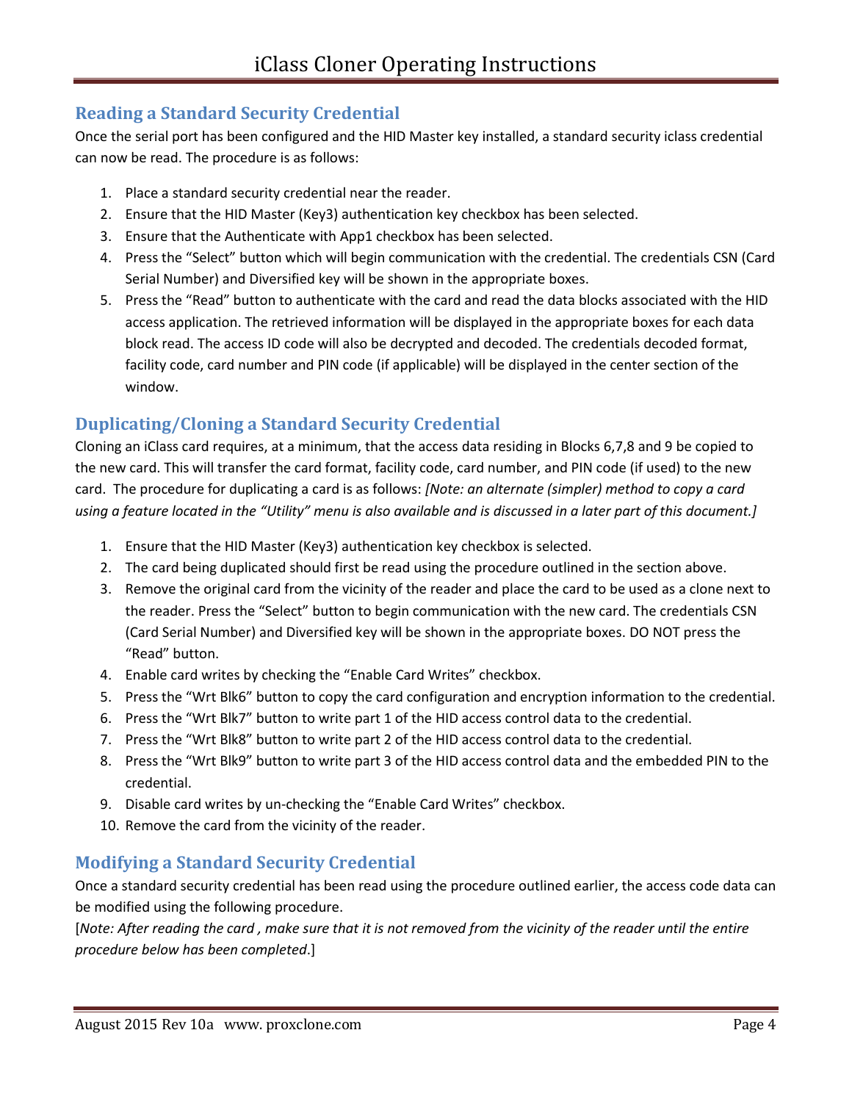## **Reading a Standard Security Credential**

Once the serial port has been configured and the HID Master key installed, a standard security iclass credential can now be read. The procedure is as follows:

- 1. Place a standard security credential near the reader.
- 2. Ensure that the HID Master (Key3) authentication key checkbox has been selected.
- 3. Ensure that the Authenticate with App1 checkbox has been selected.
- 4. Press the "Select" button which will begin communication with the credential. The credentials CSN (Card Serial Number) and Diversified key will be shown in the appropriate boxes.
- 5. Press the "Read" button to authenticate with the card and read the data blocks associated with the HID access application. The retrieved information will be displayed in the appropriate boxes for each data block read. The access ID code will also be decrypted and decoded. The credentials decoded format, facility code, card number and PIN code (if applicable) will be displayed in the center section of the window.

# **Duplicating/Cloning a Standard Security Credential**

Cloning an iClass card requires, at a minimum, that the access data residing in Blocks 6,7,8 and 9 be copied to the new card. This will transfer the card format, facility code, card number, and PIN code (if used) to the new card. The procedure for duplicating a card is as follows: *[Note: an alternate (simpler) method to copy a card using a feature located in the "Utility" menu is also available and is discussed in a later part of this document.]*

- 1. Ensure that the HID Master (Key3) authentication key checkbox is selected.
- 2. The card being duplicated should first be read using the procedure outlined in the section above.
- 3. Remove the original card from the vicinity of the reader and place the card to be used as a clone next to the reader. Press the "Select" button to begin communication with the new card. The credentials CSN (Card Serial Number) and Diversified key will be shown in the appropriate boxes. DO NOT press the "Read" button.
- 4. Enable card writes by checking the "Enable Card Writes" checkbox.
- 5. Press the "Wrt Blk6" button to copy the card configuration and encryption information to the credential.
- 6. Press the "Wrt Blk7" button to write part 1 of the HID access control data to the credential.
- 7. Press the "Wrt Blk8" button to write part 2 of the HID access control data to the credential.
- 8. Press the "Wrt Blk9" button to write part 3 of the HID access control data and the embedded PIN to the credential.
- 9. Disable card writes by un-checking the "Enable Card Writes" checkbox.
- 10. Remove the card from the vicinity of the reader.

## **Modifying a Standard Security Credential**

Once a standard security credential has been read using the procedure outlined earlier, the access code data can be modified using the following procedure.

[*Note: After reading the card , make sure that it is not removed from the vicinity of the reader until the entire procedure below has been completed*.]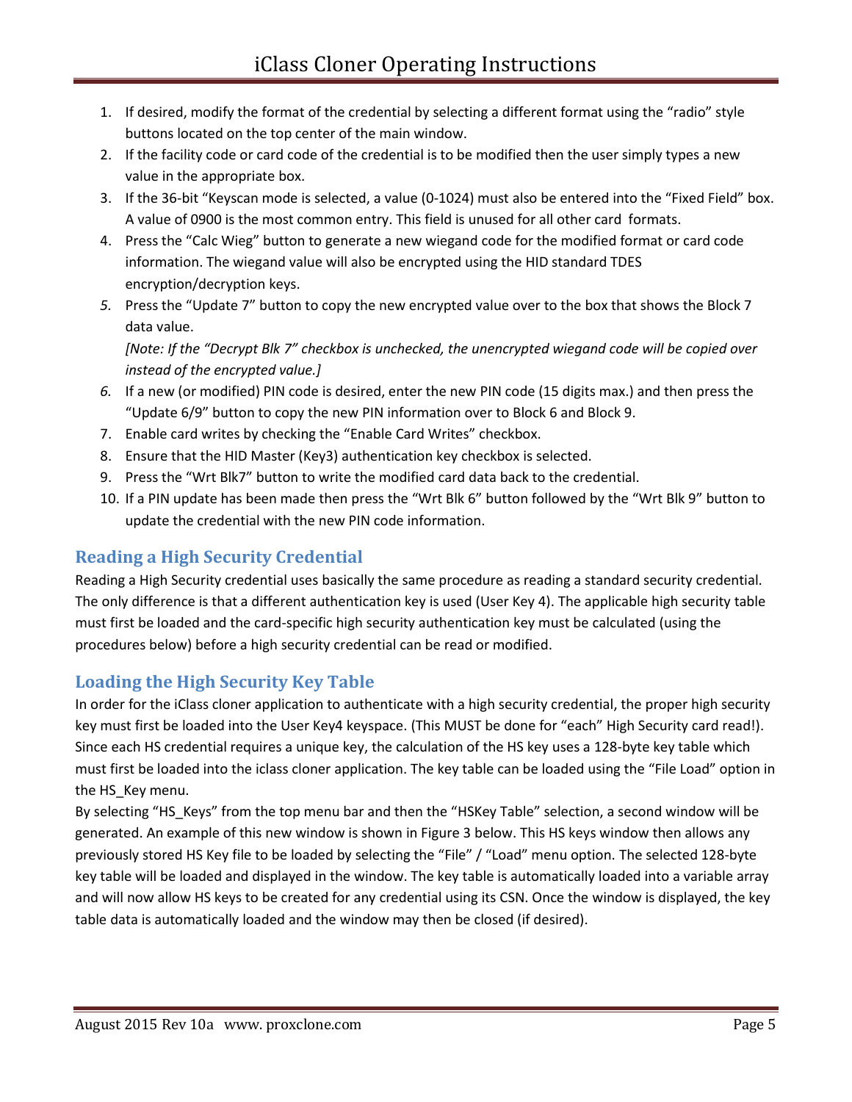- 1. If desired, modify the format of the credential by selecting a different format using the "radio" style buttons located on the top center of the main window.
- 2. If the facility code or card code of the credential is to be modified then the user simply types a new value in the appropriate box.
- 3. If the 36-bit "Keyscan mode is selected, a value (0-1024) must also be entered into the "Fixed Field" box. A value of 0900 is the most common entry. This field is unused for all other card formats.
- 4. Press the "Calc Wieg" button to generate a new wiegand code for the modified format or card code information. The wiegand value will also be encrypted using the HID standard TDES encryption/decryption keys.
- *5.* Press the "Update 7" button to copy the new encrypted value over to the box that shows the Block 7 data value.

*[Note: If the "Decrypt Blk 7" checkbox is unchecked, the unencrypted wiegand code will be copied over instead of the encrypted value.]*

- *6.* If a new (or modified) PIN code is desired, enter the new PIN code (15 digits max.) and then press the "Update 6/9" button to copy the new PIN information over to Block 6 and Block 9.
- 7. Enable card writes by checking the "Enable Card Writes" checkbox.
- 8. Ensure that the HID Master (Key3) authentication key checkbox is selected.
- 9. Press the "Wrt Blk7" button to write the modified card data back to the credential.
- 10. If a PIN update has been made then press the "Wrt Blk 6" button followed by the "Wrt Blk 9" button to update the credential with the new PIN code information.

# **Reading a High Security Credential**

Reading a High Security credential uses basically the same procedure as reading a standard security credential. The only difference is that a different authentication key is used (User Key 4). The applicable high security table must first be loaded and the card-specific high security authentication key must be calculated (using the procedures below) before a high security credential can be read or modified.

## **Loading the High Security Key Table**

In order for the iClass cloner application to authenticate with a high security credential, the proper high security key must first be loaded into the User Key4 keyspace. (This MUST be done for "each" High Security card read!). Since each HS credential requires a unique key, the calculation of the HS key uses a 128-byte key table which must first be loaded into the iclass cloner application. The key table can be loaded using the "File Load" option in the HS\_Key menu.

By selecting "HS\_Keys" from the top menu bar and then the "HSKey Table" selection, a second window will be generated. An example of this new window is shown in Figure 3 below. This HS keys window then allows any previously stored HS Key file to be loaded by selecting the "File" / "Load" menu option. The selected 128-byte key table will be loaded and displayed in the window. The key table is automatically loaded into a variable array and will now allow HS keys to be created for any credential using its CSN. Once the window is displayed, the key table data is automatically loaded and the window may then be closed (if desired).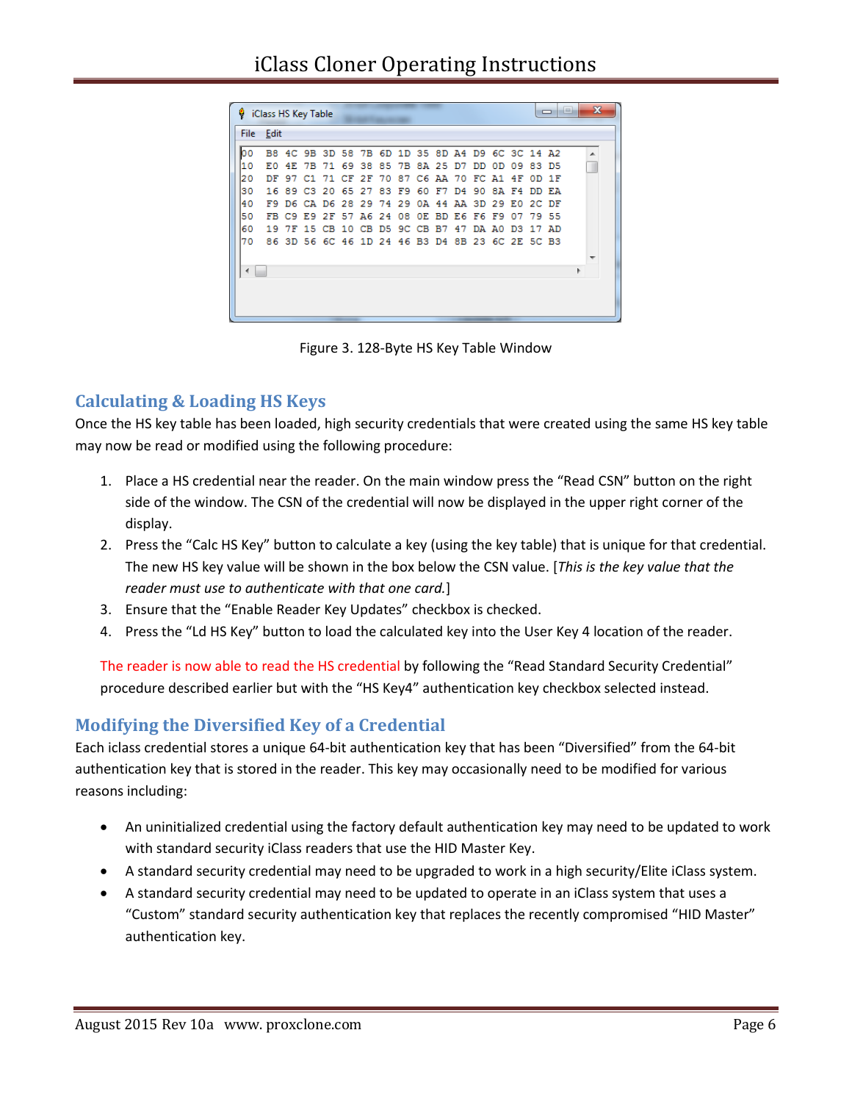|          |                                           |                                                      | iClass HS Key Table     |  |                                     |    |                                     |       |    |                   |     |                                                                   |                                            | $\Box$                                 | a po                                                                                                                                                            | $\mathbf{x}$ |  |
|----------|-------------------------------------------|------------------------------------------------------|-------------------------|--|-------------------------------------|----|-------------------------------------|-------|----|-------------------|-----|-------------------------------------------------------------------|--------------------------------------------|----------------------------------------|-----------------------------------------------------------------------------------------------------------------------------------------------------------------|--------------|--|
|          |                                           |                                                      |                         |  |                                     |    |                                     |       |    |                   |     |                                                                   |                                            |                                        |                                                                                                                                                                 |              |  |
|          |                                           |                                                      |                         |  |                                     |    |                                     |       |    |                   |     |                                                                   |                                            |                                        |                                                                                                                                                                 | ۸            |  |
|          |                                           |                                                      |                         |  |                                     |    |                                     |       |    |                   | 0D. |                                                                   |                                            |                                        |                                                                                                                                                                 |              |  |
|          |                                           |                                                      |                         |  |                                     |    |                                     |       |    |                   |     |                                                                   |                                            |                                        |                                                                                                                                                                 |              |  |
|          |                                           |                                                      |                         |  |                                     |    | 60                                  |       |    |                   |     |                                                                   |                                            |                                        |                                                                                                                                                                 |              |  |
|          |                                           |                                                      |                         |  |                                     |    |                                     |       |    |                   |     |                                                                   |                                            |                                        |                                                                                                                                                                 |              |  |
|          |                                           |                                                      |                         |  |                                     |    |                                     |       |    |                   |     | 07                                                                |                                            |                                        |                                                                                                                                                                 |              |  |
|          |                                           |                                                      |                         |  |                                     |    |                                     |       | 47 |                   |     |                                                                   |                                            |                                        |                                                                                                                                                                 |              |  |
|          |                                           |                                                      |                         |  |                                     |    |                                     |       |    |                   |     |                                                                   |                                            |                                        |                                                                                                                                                                 |              |  |
|          |                                           |                                                      |                         |  |                                     |    |                                     |       |    |                   |     |                                                                   |                                            |                                        |                                                                                                                                                                 |              |  |
|          |                                           |                                                      |                         |  |                                     |    |                                     |       |    |                   |     |                                                                   |                                            |                                        |                                                                                                                                                                 |              |  |
|          |                                           |                                                      |                         |  |                                     |    |                                     |       |    |                   |     |                                                                   |                                            |                                        |                                                                                                                                                                 |              |  |
|          |                                           |                                                      |                         |  |                                     |    |                                     |       |    |                   |     |                                                                   |                                            |                                        |                                                                                                                                                                 |              |  |
|          |                                           |                                                      |                         |  |                                     |    |                                     |       |    |                   |     |                                                                   |                                            |                                        |                                                                                                                                                                 |              |  |
| 50<br>60 | File<br>lo٥<br>10<br>20<br>30<br>40<br>70 | Edit<br>EО<br>DF 97<br>16.<br>F9.<br>FB<br>19<br>86. | 4E.<br>89<br>C9.<br>3D. |  | $C1$ 71 $CF$ 2 $F$<br>$C3$ 20 65 27 | 70 | E9 2F 57 A6 24<br>7F 15 CB 10 CB D5 | 83 F9 |    | F7 D4<br>9C CB B7 |     | 7B 71 69 38 85 7B 8A 25 D7 DD<br>90<br>08 OE BD E6 F6 F9<br>DA AO | 09<br>87 C6 AA 70 FC A1 4F<br>RA F4<br>D3. | D6 CA D6 28 29 74 29 0A 44 AA 3D 29 E0 | BB 4C 9B 3D 58 7B 6D 1D 35 8D A4 D9 6C 3C 14 A2<br>83 D.S<br>$OD$ 1 $F$<br><b>DD EA</b><br>2C DF<br>79.55<br>17 AD<br>56 6C 46 1D 24 46 B3 D4 8B 23 6C 2E 5C B3 |              |  |

Figure 3. 128-Byte HS Key Table Window

## **Calculating & Loading HS Keys**

Once the HS key table has been loaded, high security credentials that were created using the same HS key table may now be read or modified using the following procedure:

- 1. Place a HS credential near the reader. On the main window press the "Read CSN" button on the right side of the window. The CSN of the credential will now be displayed in the upper right corner of the display.
- 2. Press the "Calc HS Key" button to calculate a key (using the key table) that is unique for that credential. The new HS key value will be shown in the box below the CSN value. [*This is the key value that the reader must use to authenticate with that one card.*]
- 3. Ensure that the "Enable Reader Key Updates" checkbox is checked.
- 4. Press the "Ld HS Key" button to load the calculated key into the User Key 4 location of the reader.

The reader is now able to read the HS credential by following the "Read Standard Security Credential" procedure described earlier but with the "HS Key4" authentication key checkbox selected instead.

## **Modifying the Diversified Key of a Credential**

Each iclass credential stores a unique 64-bit authentication key that has been "Diversified" from the 64-bit authentication key that is stored in the reader. This key may occasionally need to be modified for various reasons including:

- An uninitialized credential using the factory default authentication key may need to be updated to work with standard security iClass readers that use the HID Master Key.
- A standard security credential may need to be upgraded to work in a high security/Elite iClass system.
- A standard security credential may need to be updated to operate in an iClass system that uses a "Custom" standard security authentication key that replaces the recently compromised "HID Master" authentication key.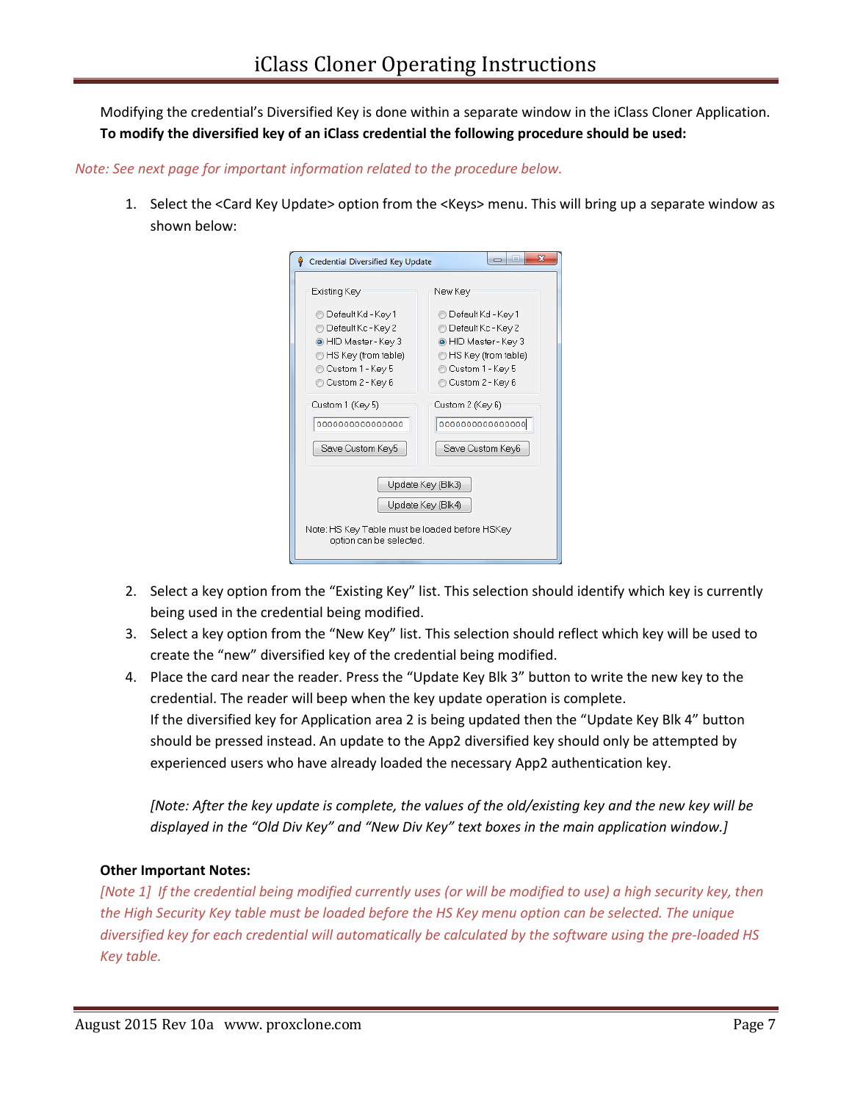Modifying the credential's Diversified Key is done within a separate window in the iClass Cloner Application. **To modify the diversified key of an iClass credential the following procedure should be used:**

#### *Note: See next page for important information related to the procedure below.*

1. Select the <Card Key Update> option from the <Keys> menu. This will bring up a separate window as shown below:

| Credential Diversified Key Update<br>ę                                                                                            | $\overline{\mathbf{x}}$<br>$-1$<br>$\Box$                                                                                       |
|-----------------------------------------------------------------------------------------------------------------------------------|---------------------------------------------------------------------------------------------------------------------------------|
| Existing Key                                                                                                                      | New Key                                                                                                                         |
| ⊜ Default Kd - Key 1<br>Default Kc - Key 2<br>O HID Master - Key 3<br>HS Key (from table)<br>Custom 1 - Key 5<br>Custom 2 - Key 6 | Default Kd - Key 1<br>Default Kc - Key 2<br>• HID Master - Key 3<br>HS Key (from table)<br>Custom 1 - Key 5<br>Custom 2 - Key 6 |
| Custom 1 (Key 5)<br>000000000000000<br>Save Custom Key5                                                                           | Custom 2 (Key 6)<br>000000000000000<br>Save Custom Key6                                                                         |
| Update Key (Blk3)<br>Update Key (Blk4)<br>Note: HS Key Table must be loaded before HSKey<br>option can be selected.               |                                                                                                                                 |

- 2. Select a key option from the "Existing Key" list. This selection should identify which key is currently being used in the credential being modified.
- 3. Select a key option from the "New Key" list. This selection should reflect which key will be used to create the "new" diversified key of the credential being modified.
- 4. Place the card near the reader. Press the "Update Key Blk 3" button to write the new key to the credential. The reader will beep when the key update operation is complete. If the diversified key for Application area 2 is being updated then the "Update Key Blk 4" button should be pressed instead. An update to the App2 diversified key should only be attempted by experienced users who have already loaded the necessary App2 authentication key.

*[Note: After the key update is complete, the values of the old/existing key and the new key will be displayed in the "Old Div Key" and "New Div Key" text boxes in the main application window.]*

#### **Other Important Notes:**

*[Note 1] If the credential being modified currently uses (or will be modified to use) a high security key, then the High Security Key table must be loaded before the HS Key menu option can be selected. The unique diversified key for each credential will automatically be calculated by the software using the pre-loaded HS Key table.*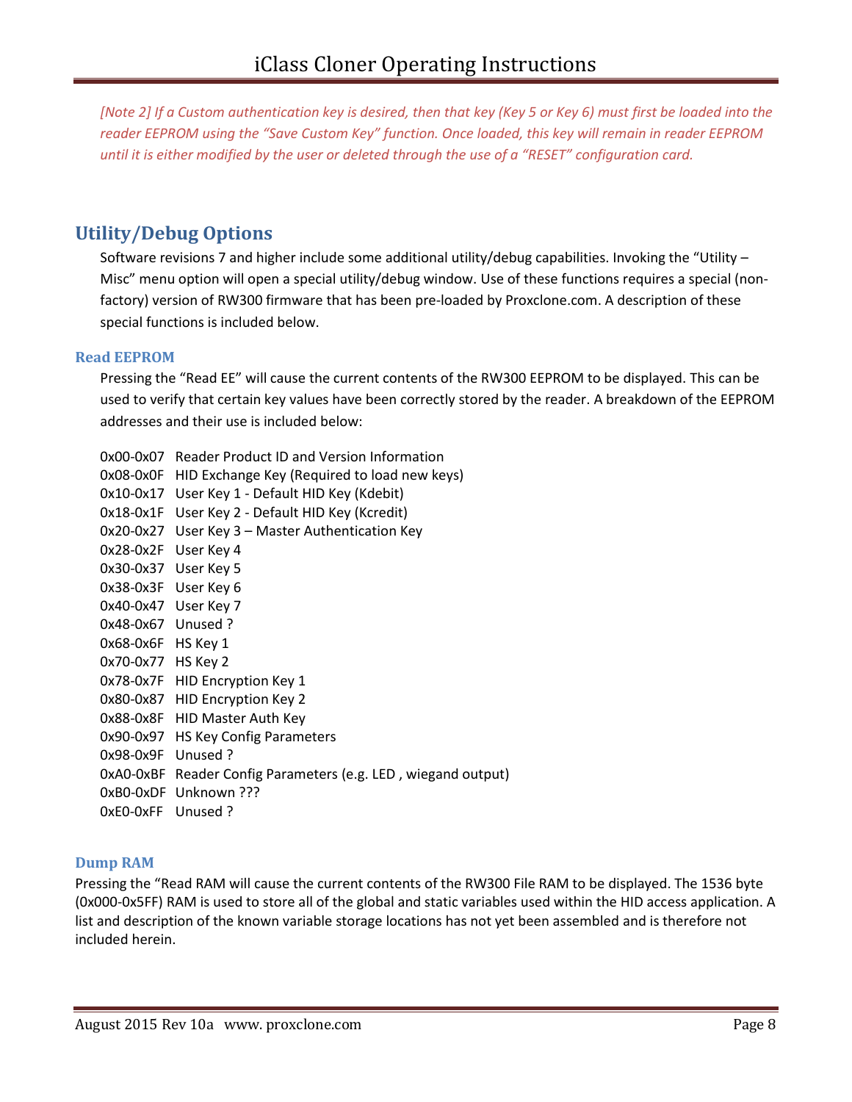*[Note 2] If a Custom authentication key is desired, then that key (Key 5 or Key 6) must first be loaded into the reader EEPROM using the "Save Custom Key" function. Once loaded, this key will remain in reader EEPROM until it is either modified by the user or deleted through the use of a "RESET" configuration card.* 

# **Utility/Debug Options**

Software revisions 7 and higher include some additional utility/debug capabilities. Invoking the "Utility – Misc" menu option will open a special utility/debug window. Use of these functions requires a special (nonfactory) version of RW300 firmware that has been pre-loaded by Proxclone.com. A description of these special functions is included below.

### **Read EEPROM**

Pressing the "Read EE" will cause the current contents of the RW300 EEPROM to be displayed. This can be used to verify that certain key values have been correctly stored by the reader. A breakdown of the EEPROM addresses and their use is included below:

0x00-0x07 Reader Product ID and Version Information 0x08-0x0F HID Exchange Key (Required to load new keys) 0x10-0x17 User Key 1 - Default HID Key (Kdebit) 0x18-0x1F User Key 2 - Default HID Key (Kcredit) 0x20-0x27 User Key 3 – Master Authentication Key 0x28-0x2F User Key 4 0x30-0x37 User Key 5 0x38-0x3F User Key 6 0x40-0x47 User Key 7 0x48-0x67 Unused ? 0x68-0x6F HS Key 1 0x70-0x77 HS Key 2 0x78-0x7F HID Encryption Key 1 0x80-0x87 HID Encryption Key 2 0x88-0x8F HID Master Auth Key 0x90-0x97 HS Key Config Parameters 0x98-0x9F Unused ? 0xA0-0xBF Reader Config Parameters (e.g. LED , wiegand output) 0xB0-0xDF Unknown ??? 0xE0-0xFF Unused ?

### **Dump RAM**

Pressing the "Read RAM will cause the current contents of the RW300 File RAM to be displayed. The 1536 byte (0x000-0x5FF) RAM is used to store all of the global and static variables used within the HID access application. A list and description of the known variable storage locations has not yet been assembled and is therefore not included herein.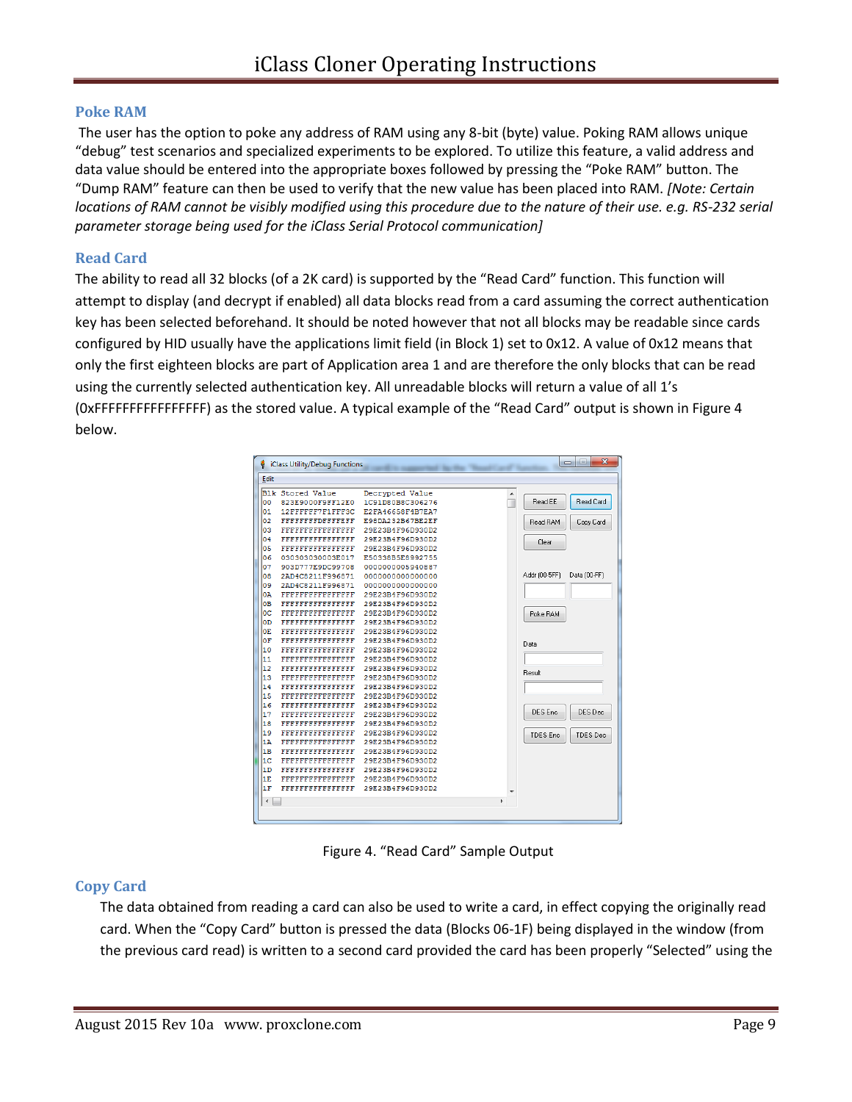### **Poke RAM**

The user has the option to poke any address of RAM using any 8-bit (byte) value. Poking RAM allows unique "debug" test scenarios and specialized experiments to be explored. To utilize this feature, a valid address and data value should be entered into the appropriate boxes followed by pressing the "Poke RAM" button. The "Dump RAM" feature can then be used to verify that the new value has been placed into RAM. *[Note: Certain locations of RAM cannot be visibly modified using this procedure due to the nature of their use. e.g. RS-232 serial parameter storage being used for the iClass Serial Protocol communication]* 

#### **Read Card**

The ability to read all 32 blocks (of a 2K card) is supported by the "Read Card" function. This function will attempt to display (and decrypt if enabled) all data blocks read from a card assuming the correct authentication key has been selected beforehand. It should be noted however that not all blocks may be readable since cards configured by HID usually have the applications limit field (in Block 1) set to 0x12. A value of 0x12 means that only the first eighteen blocks are part of Application area 1 and are therefore the only blocks that can be read using the currently selected authentication key. All unreadable blocks will return a value of all 1's (0xFFFFFFFFFFFFFFFF) as the stored value. A typical example of the "Read Card" output is shown in Figure 4 below.

| Edit                     |                          |                  |   |                                     |
|--------------------------|--------------------------|------------------|---|-------------------------------------|
|                          | Blk Stored Value         | Decrypted Value  |   |                                     |
| lo o                     | 823E9000F9FF12E0         | 1C91D80B8C306276 |   | Read Card<br>Read EE                |
| 01                       | 12FFFFFF7F1FFF3C         | E2FA46658F4B7EA7 |   |                                     |
| 02                       | <b>FFFFFFFFDFFFFFFF</b>  | E98DA232B67BE2EF |   | Read RAM<br>Copy Card               |
| 03                       | FFFFFFFFFFFFFFFF         | 29E23B4F96D930D2 |   |                                     |
| 04                       | FFFFFFFFFFFFFFFF         | 29E23B4F96D930D2 |   | Clear                               |
| lo 5                     | <b>FFFFFFFFFFFFFFFFF</b> | 29E23B4F96D930D2 |   |                                     |
| 06                       | 030303030003E017         | E50338B5E8992755 |   |                                     |
| 07                       | 903D777E9DC99708         | 0000000005940887 |   |                                     |
| 108                      | 2AD4C8211F996871         | 000000000000000  |   | Addr (00-5FF)<br>Data (00-FF)       |
| 09                       | 2AD4C8211F996871         | 000000000000000  |   |                                     |
| ЮA                       | <b>FFFFFFFFFFFFFFFF</b>  | 29E23B4F96D930D2 |   |                                     |
| oв                       | FFFFFFFFFFFFFFFF         | 29E23B4F96D930D2 |   |                                     |
| loc:                     | <b>FFFFFFFFFFFFFFFF</b>  | 29E23B4F96D930D2 |   | Poke RAM                            |
| ЮD                       | <b>FFFFFFFFFFFFFFFF</b>  | 29E23B4F96D930D2 |   |                                     |
| OЕ                       | <b>FEFFFFFFFFFFFFFFF</b> | 29E23B4F96D930D2 |   |                                     |
| 10 F                     | FFFFFFFFFFFFFFFF         | 29E23B4F96D930D2 |   | Data                                |
| 10                       | <b>FFFFFFFFFFFFFFFF</b>  | 29E23B4F96D930D2 |   |                                     |
| 11                       | FFFFFFFFFFFFFFFF         | 29E23B4F96D930D2 |   |                                     |
| 12                       | FFFFFFFFFFFFFFFFF        | 29E23B4F96D930D2 |   | Result                              |
| 13                       | <b>FFFFFFFFFFFFFFFF</b>  | 29E23B4F96D930D2 |   |                                     |
| 14                       | FFFFFFFFFFFFFFFF         | 29E23B4F96D930D2 |   |                                     |
| 15                       | <b>FFFFFFFFFFFFFFFFF</b> | 29E23B4F96D930D2 |   |                                     |
| 16                       | <b>FFFFFFFFFFFFFFFFF</b> | 29E23B4F96D930D2 |   |                                     |
| 17                       | <b>FEFFFFFFFFFFFFFFF</b> | 29E23B4F96D930D2 |   | DES Enc<br>DES Dec                  |
| 18                       | FFFFFFFFFFFFFFFF         | 29E23B4F96D930D2 |   |                                     |
| 19                       | <b>FFFFFFFFFFFFFFFFF</b> | 29E23B4F96D930D2 |   | <b>TDES</b> Enc.<br><b>TDES Dec</b> |
| 1 A                      | FFFFFFFFFFFFFFFF         | 29E23B4F96D930D2 |   |                                     |
| 1B                       | <b>FFFFFFFFFFFFFFFFF</b> | 29E23B4F96D930D2 |   |                                     |
| 1C                       | <b>FFFFFFFFFFFFFFFFF</b> | 29E23B4F96D930D2 |   |                                     |
| 1D                       | <b>FEFFFFFFFFFFFFFFF</b> | 29E23B4F96D930D2 |   |                                     |
| 1E                       | FFFFFFFFFFFFFFFFF        | 29E23B4F96D930D2 |   |                                     |
| 1F                       | <b>FFFFFFFFFFFFFFFFF</b> | 29E23B4F96D930D2 |   |                                     |
| $\overline{\phantom{a}}$ |                          |                  | ۱ |                                     |

Figure 4. "Read Card" Sample Output

### **Copy Card**

The data obtained from reading a card can also be used to write a card, in effect copying the originally read card. When the "Copy Card" button is pressed the data (Blocks 06-1F) being displayed in the window (from the previous card read) is written to a second card provided the card has been properly "Selected" using the